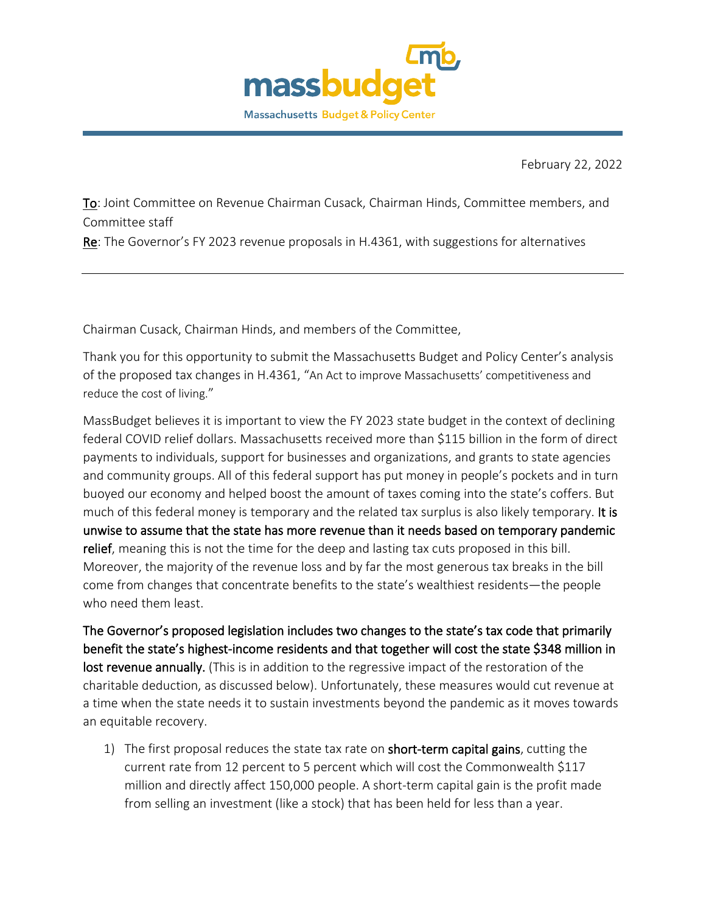

February 22, 2022

To: Joint Committee on Revenue Chairman Cusack, Chairman Hinds, Committee members, and Committee staff

Re: The Governor's FY 2023 revenue proposals in H.4361, with suggestions for alternatives

Chairman Cusack, Chairman Hinds, and members of the Committee,

Thank you for this opportunity to submit the Massachusetts Budget and Policy Center's analysis of the proposed tax changes in H.4361, "An Act to improve Massachusetts' competitiveness and reduce the cost of living."

MassBudget believes it is important to view the FY 2023 state budget in the context of declining federal COVID relief dollars. Massachusetts received more than \$115 billion in the form of direct payments to individuals, support for businesses and organizations, and grants to state agencies and community groups. All of this federal support has put money in people's pockets and in turn buoyed our economy and helped boost the amount of taxes coming into the state's coffers. But much of this federal money is temporary and the related tax surplus is also likely temporary. It is unwise to assume that the state has more revenue than it needs based on temporary pandemic relief, meaning this is not the time for the deep and lasting tax cuts proposed in this bill. Moreover, the majority of the revenue loss and by far the most generous tax breaks in the bill come from changes that concentrate benefits to the state's wealthiest residents—the people who need them least.

The Governor's proposed legislation includes two changes to the state's tax code that primarily benefit the state's highest-income residents and that together will cost the state \$348 million in lost revenue annually. (This is in addition to the regressive impact of the restoration of the charitable deduction, as discussed below). Unfortunately, these measures would cut revenue at a time when the state needs it to sustain investments beyond the pandemic as it moves towards an equitable recovery.

1) The first proposal reduces the state tax rate on short-term capital gains, cutting the current rate from 12 percent to 5 percent which will cost the Commonwealth \$117 million and directly affect 150,000 people. A short-term capital gain is the profit made from selling an investment (like a stock) that has been held for less than a year.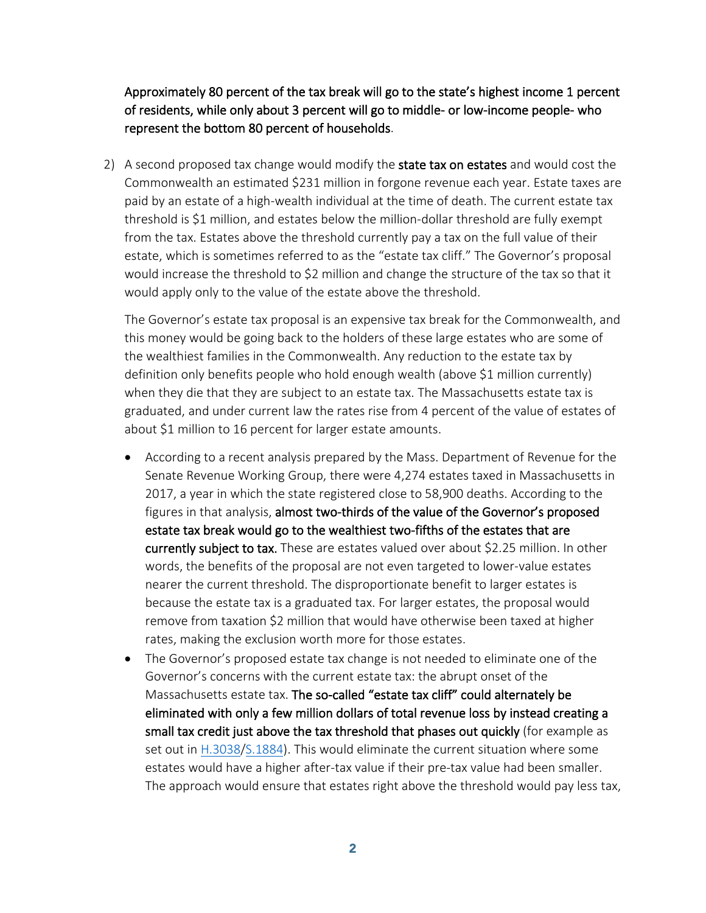Approximately 80 percent of the tax break will go to the state's highest income 1 percent of residents, while only about 3 percent will go to middle- or low-income people- who represent the bottom 80 percent of households.

2) A second proposed tax change would modify the state tax on estates and would cost the Commonwealth an estimated \$231 million in forgone revenue each year. Estate taxes are paid by an estate of a high-wealth individual at the time of death. The current estate tax threshold is \$1 million, and estates below the million-dollar threshold are fully exempt from the tax. Estates above the threshold currently pay a tax on the full value of their estate, which is sometimes referred to as the "estate tax cliff." The Governor's proposal would increase the threshold to \$2 million and change the structure of the tax so that it would apply only to the value of the estate above the threshold.

The Governor's estate tax proposal is an expensive tax break for the Commonwealth, and this money would be going back to the holders of these large estates who are some of the wealthiest families in the Commonwealth. Any reduction to the estate tax by definition only benefits people who hold enough wealth (above \$1 million currently) when they die that they are subject to an estate tax. The Massachusetts estate tax is graduated, and under current law the rates rise from 4 percent of the value of estates of about \$1 million to 16 percent for larger estate amounts.

- According to a recent analysis prepared by the Mass. Department of Revenue for the Senate Revenue Working Group, there were 4,274 estates taxed in Massachusetts in 2017, a year in which the state registered close to 58,900 deaths. According to the figures in that analysis, almost two-thirds of the value of the Governor's proposed estate tax break would go to the wealthiest two-fifths of the estates that are currently subject to tax. These are estates valued over about \$2.25 million. In other words, the benefits of the proposal are not even targeted to lower-value estates nearer the current threshold. The disproportionate benefit to larger estates is because the estate tax is a graduated tax. For larger estates, the proposal would remove from taxation \$2 million that would have otherwise been taxed at higher rates, making the exclusion worth more for those estates.
- The Governor's proposed estate tax change is not needed to eliminate one of the Governor's concerns with the current estate tax: the abrupt onset of the Massachusetts estate tax. The so-called "estate tax cliff" could alternately be eliminated with only a few million dollars of total revenue loss by instead creating a small tax credit just above the tax threshold that phases out quickly (for example as set out in [H.3038/](https://malegislature.gov/Bills/192/H3038)[S.1884\)](https://malegislature.gov/Bills/192/S1884). This would eliminate the current situation where some estates would have a higher after-tax value if their pre-tax value had been smaller. The approach would ensure that estates right above the threshold would pay less tax,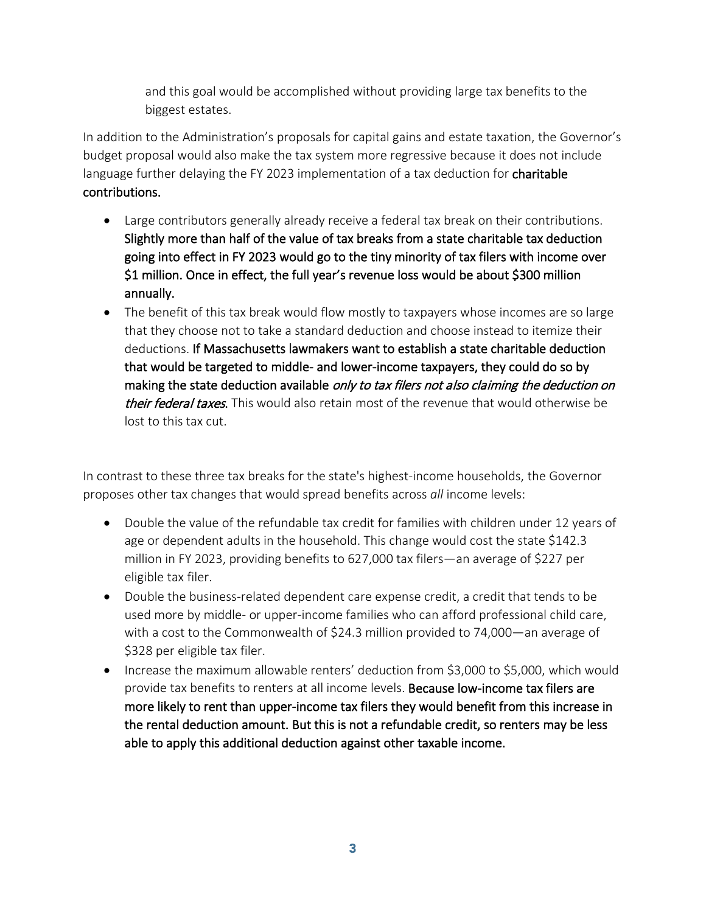and this goal would be accomplished without providing large tax benefits to the biggest estates.

In addition to the Administration's proposals for capital gains and estate taxation, the Governor's budget proposal would also make the tax system more regressive because it does not include language further delaying the FY 2023 implementation of a tax deduction for charitable contributions.

- Large contributors generally already receive a federal tax break on their contributions. Slightly more than half of the value of tax breaks from a state charitable tax deduction going into effect in FY 2023 would go to the tiny minority of tax filers with income over \$1 million. Once in effect, the full year's revenue loss would be about \$300 million annually.
- The benefit of this tax break would flow mostly to taxpayers whose incomes are so large that they choose not to take a standard deduction and choose instead to itemize their deductions. If Massachusetts lawmakers want to establish a state charitable deduction that would be targeted to middle- and lower-income taxpayers, they could do so by making the state deduction available *only to tax filers not also claiming the deduction on* their federal taxes. This would also retain most of the revenue that would otherwise be lost to this tax cut.

In contrast to these three tax breaks for the state's highest-income households, the Governor proposes other tax changes that would spread benefits across *all* income levels:

- Double the value of the refundable tax credit for families with children under 12 years of age or dependent adults in the household. This change would cost the state \$142.3 million in FY 2023, providing benefits to 627,000 tax filers—an average of \$227 per eligible tax filer.
- Double the business-related dependent care expense credit, a credit that tends to be used more by middle- or upper-income families who can afford professional child care, with a cost to the Commonwealth of \$24.3 million provided to 74,000—an average of \$328 per eligible tax filer.
- Increase the maximum allowable renters' deduction from \$3,000 to \$5,000, which would provide tax benefits to renters at all income levels. Because low-income tax filers are more likely to rent than upper-income tax filers they would benefit from this increase in the rental deduction amount. But this is not a refundable credit, so renters may be less able to apply this additional deduction against other taxable income.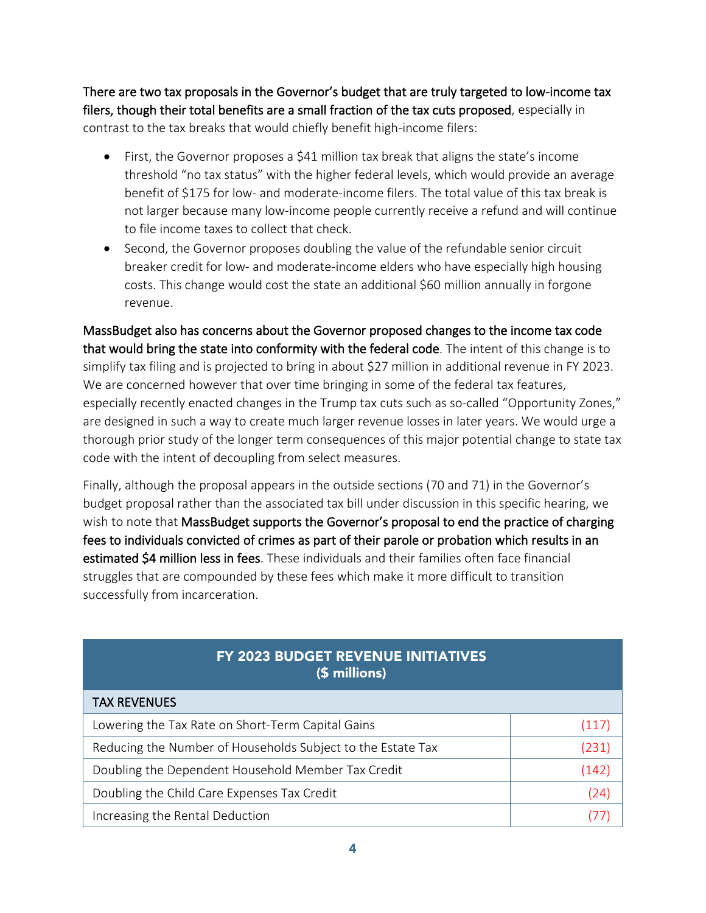There are two tax proposals in the Governor's budget that are truly targeted to low-income tax filers, though their total benefits are a small fraction of the tax cuts proposed, especially in contrast to the tax breaks that would chiefly benefit high-income filers:

- First, the Governor proposes a \$41 million tax break that aligns the state's income threshold "no tax status" with the higher federal levels, which would provide an average benefit of \$175 for low- and moderate-income filers. The total value of this tax break is not larger because many low-income people currently receive a refund and will continue to file income taxes to collect that check.
- Second, the Governor proposes doubling the value of the refundable senior circuit breaker credit for low- and moderate-income elders who have especially high housing costs. This change would cost the state an additional \$60 million annually in forgone revenue.

MassBudget also has concerns about the Governor proposed changes to the income tax code that would bring the state into conformity with the federal code. The intent of this change is to simplify tax filing and is projected to bring in about \$27 million in additional revenue in FY 2023. We are concerned however that over time bringing in some of the federal tax features, especially recently enacted changes in the Trump tax cuts such as so-called "Opportunity Zones," are designed in such a way to create much larger revenue losses in later years. We would urge a thorough prior study of the longer term consequences of this major potential change to state tax code with the intent of decoupling from select measures.

Finally, although the proposal appears in the outside sections (70 and 71) in the Governor's budget proposal rather than the associated tax bill under discussion in this specific hearing, we wish to note that MassBudget supports the Governor's proposal to end the practice of charging fees to individuals convicted of crimes as part of their parole or probation which results in an estimated \$4 million less in fees. These individuals and their families often face financial struggles that are compounded by these fees which make it more difficult to transition successfully from incarceration.

| FY 2023 BUDGET REVENUE INITIATIVES<br>(\$ millions)         |       |
|-------------------------------------------------------------|-------|
| <b>TAX REVENUES</b>                                         |       |
| Lowering the Tax Rate on Short-Term Capital Gains           | (117) |
| Reducing the Number of Households Subject to the Estate Tax | (231) |
| Doubling the Dependent Household Member Tax Credit          | (142) |
| Doubling the Child Care Expenses Tax Credit                 | (24   |
| Increasing the Rental Deduction                             |       |